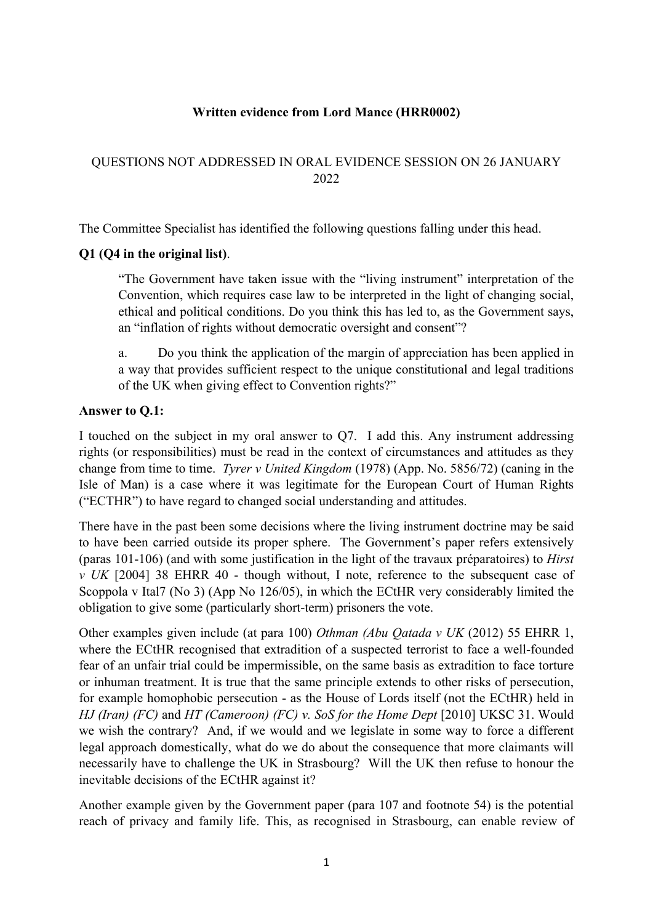### **Written evidence from Lord Mance (HRR0002)**

## QUESTIONS NOT ADDRESSED IN ORAL EVIDENCE SESSION ON 26 JANUARY 2022

The Committee Specialist has identified the following questions falling under this head.

## **Q1 (Q4 in the original list)**.

"The Government have taken issue with the "living instrument" interpretation of the Convention, which requires case law to be interpreted in the light of changing social, ethical and political conditions. Do you think this has led to, as the Government says, an "inflation of rights without democratic oversight and consent"?

a. Do you think the application of the margin of appreciation has been applied in a way that provides sufficient respect to the unique constitutional and legal traditions of the UK when giving effect to Convention rights?"

## **Answer to Q.1:**

I touched on the subject in my oral answer to Q7. I add this. Any instrument addressing rights (or responsibilities) must be read in the context of circumstances and attitudes as they change from time to time. *Tyrer v United Kingdom* (1978) (App. No. 5856/72) (caning in the Isle of Man) is a case where it was legitimate for the European Court of Human Rights ("ECTHR") to have regard to changed social understanding and attitudes.

There have in the past been some decisions where the living instrument doctrine may be said to have been carried outside its proper sphere. The Government's paper refers extensively (paras 101-106) (and with some justification in the light of the travaux préparatoires) to *Hirst v UK* [2004] 38 EHRR 40 - though without, I note, reference to the subsequent case of Scoppola v Ital7 (No 3) (App No 126/05), in which the ECtHR very considerably limited the obligation to give some (particularly short-term) prisoners the vote.

Other examples given include (at para 100) *Othman (Abu Qatada v UK* (2012) 55 EHRR 1, where the ECtHR recognised that extradition of a suspected terrorist to face a well-founded fear of an unfair trial could be impermissible, on the same basis as extradition to face torture or inhuman treatment. It is true that the same principle extends to other risks of persecution, for example homophobic persecution - as the House of Lords itself (not the ECtHR) held in *HJ (Iran) (FC)* and *HT (Cameroon) (FC) v. SoS for the Home Dept* [2010] UKSC 31. Would we wish the contrary? And, if we would and we legislate in some way to force a different legal approach domestically, what do we do about the consequence that more claimants will necessarily have to challenge the UK in Strasbourg? Will the UK then refuse to honour the inevitable decisions of the ECtHR against it?

Another example given by the Government paper (para 107 and footnote 54) is the potential reach of privacy and family life. This, as recognised in Strasbourg, can enable review of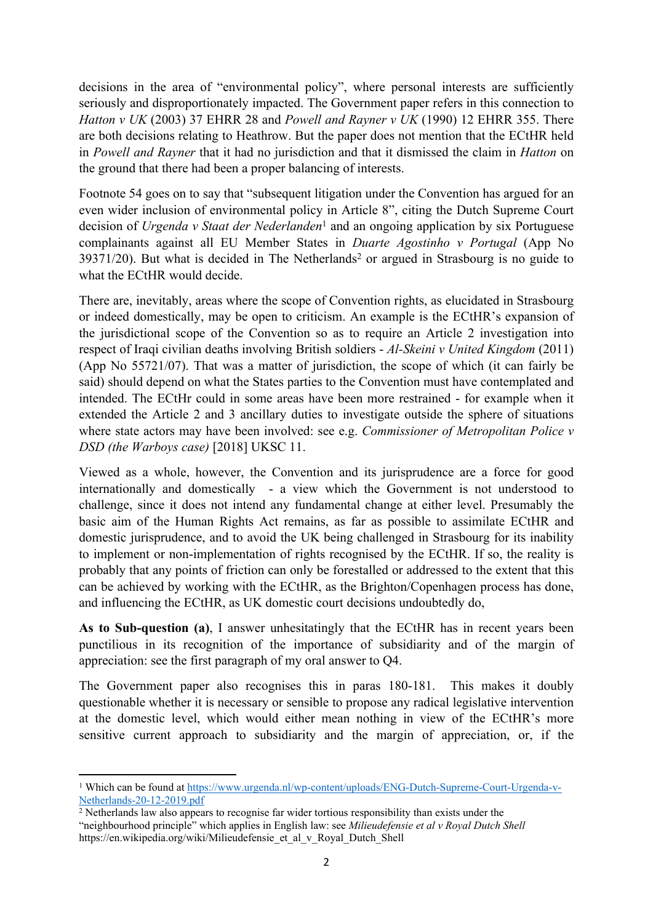decisions in the area of "environmental policy", where personal interests are sufficiently seriously and disproportionately impacted. The Government paper refers in this connection to *Hatton v UK* (2003) 37 EHRR 28 and *Powell and Rayner v UK* (1990) 12 EHRR 355. There are both decisions relating to Heathrow. But the paper does not mention that the ECtHR held in *Powell and Rayner* that it had no jurisdiction and that it dismissed the claim in *Hatton* on the ground that there had been a proper balancing of interests.

Footnote 54 goes on to say that "subsequent litigation under the Convention has argued for an even wider inclusion of environmental policy in Article 8", citing the Dutch Supreme Court decision of *Urgenda v Staat der Nederlanden*<sup>1</sup> and an ongoing application by six Portuguese complainants against all EU Member States in *Duarte Agostinho v Portugal* (App No  $39371/20$ ). But what is decided in The Netherlands<sup>2</sup> or argued in Strasbourg is no guide to what the ECtHR would decide.

There are, inevitably, areas where the scope of Convention rights, as elucidated in Strasbourg or indeed domestically, may be open to criticism. An example is the ECtHR's expansion of the jurisdictional scope of the Convention so as to require an Article 2 investigation into respect of Iraqi civilian deaths involving British soldiers - *Al-Skeini v United Kingdom* (2011) (App No 55721/07). That was a matter of jurisdiction, the scope of which (it can fairly be said) should depend on what the States parties to the Convention must have contemplated and intended. The ECtHr could in some areas have been more restrained - for example when it extended the Article 2 and 3 ancillary duties to investigate outside the sphere of situations where state actors may have been involved: see e.g. *Commissioner of Metropolitan Police v DSD (the Warboys case)* [2018] UKSC 11.

Viewed as a whole, however, the Convention and its jurisprudence are a force for good internationally and domestically - a view which the Government is not understood to challenge, since it does not intend any fundamental change at either level. Presumably the basic aim of the Human Rights Act remains, as far as possible to assimilate ECtHR and domestic jurisprudence, and to avoid the UK being challenged in Strasbourg for its inability to implement or non-implementation of rights recognised by the ECtHR. If so, the reality is probably that any points of friction can only be forestalled or addressed to the extent that this can be achieved by working with the ECtHR, as the Brighton/Copenhagen process has done, and influencing the ECtHR, as UK domestic court decisions undoubtedly do,

**As to Sub-question (a)**, I answer unhesitatingly that the ECtHR has in recent years been punctilious in its recognition of the importance of subsidiarity and of the margin of appreciation: see the first paragraph of my oral answer to Q4.

The Government paper also recognises this in paras 180-181. This makes it doubly questionable whether it is necessary or sensible to propose any radical legislative intervention at the domestic level, which would either mean nothing in view of the ECtHR's more sensitive current approach to subsidiarity and the margin of appreciation, or, if the

<sup>1</sup> Which can be found at [https://www.urgenda.nl/wp-content/uploads/ENG-Dutch-Supreme-Court-Urgenda-v-](https://www.urgenda.nl/wp-content/uploads/ENG-Dutch-Supreme-Court-Urgenda-v-Netherlands-20-12-2019.pdf)[Netherlands-20-12-2019.pdf](https://www.urgenda.nl/wp-content/uploads/ENG-Dutch-Supreme-Court-Urgenda-v-Netherlands-20-12-2019.pdf)

 $2$  Netherlands law also appears to recognise far wider tortious responsibility than exists under the "neighbourhood principle" which applies in English law: see *Milieudefensie et al v Royal Dutch Shell* https://en.wikipedia.org/wiki/Milieudefensie\_et\_al\_v\_Royal\_Dutch\_Shell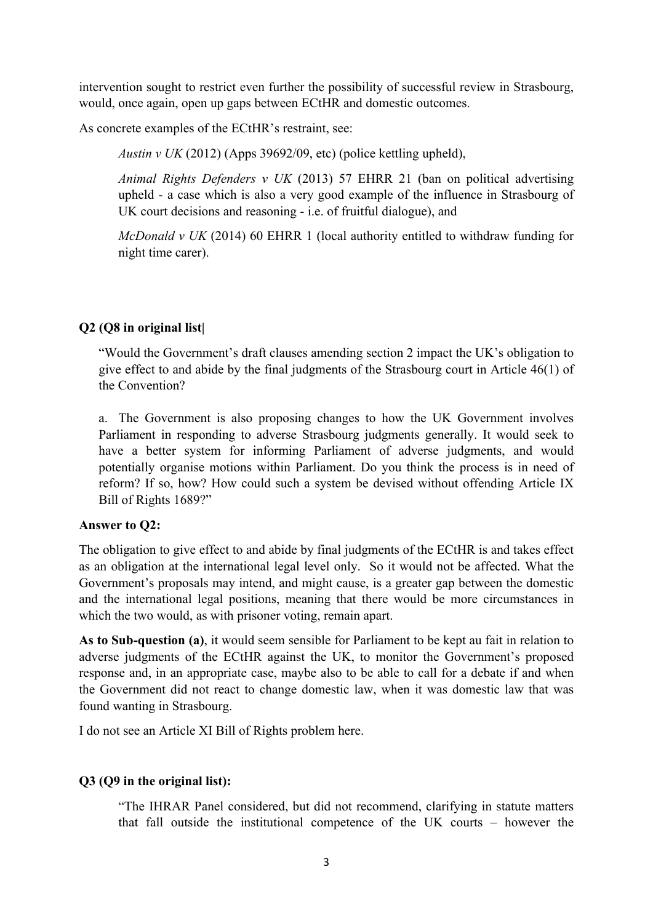intervention sought to restrict even further the possibility of successful review in Strasbourg, would, once again, open up gaps between ECtHR and domestic outcomes.

As concrete examples of the ECtHR's restraint, see:

*Austin v UK* (2012) (Apps 39692/09, etc) (police kettling upheld),

*Animal Rights Defenders v UK* (2013) 57 EHRR 21 (ban on political advertising upheld - a case which is also a very good example of the influence in Strasbourg of UK court decisions and reasoning - i.e. of fruitful dialogue), and

*McDonald v UK* (2014) 60 EHRR 1 (local authority entitled to withdraw funding for night time carer).

### **Q2 (Q8 in original list|**

"Would the Government's draft clauses amending section 2 impact the UK's obligation to give effect to and abide by the final judgments of the Strasbourg court in Article 46(1) of the Convention?

a. The Government is also proposing changes to how the UK Government involves Parliament in responding to adverse Strasbourg judgments generally. It would seek to have a better system for informing Parliament of adverse judgments, and would potentially organise motions within Parliament. Do you think the process is in need of reform? If so, how? How could such a system be devised without offending Article IX Bill of Rights 1689?"

#### **Answer to Q2:**

The obligation to give effect to and abide by final judgments of the ECtHR is and takes effect as an obligation at the international legal level only. So it would not be affected. What the Government's proposals may intend, and might cause, is a greater gap between the domestic and the international legal positions, meaning that there would be more circumstances in which the two would, as with prisoner voting, remain apart.

**As to Sub-question (a)**, it would seem sensible for Parliament to be kept au fait in relation to adverse judgments of the ECtHR against the UK, to monitor the Government's proposed response and, in an appropriate case, maybe also to be able to call for a debate if and when the Government did not react to change domestic law, when it was domestic law that was found wanting in Strasbourg.

I do not see an Article XI Bill of Rights problem here.

#### **Q3 (Q9 in the original list):**

"The IHRAR Panel considered, but did not recommend, clarifying in statute matters that fall outside the institutional competence of the UK courts – however the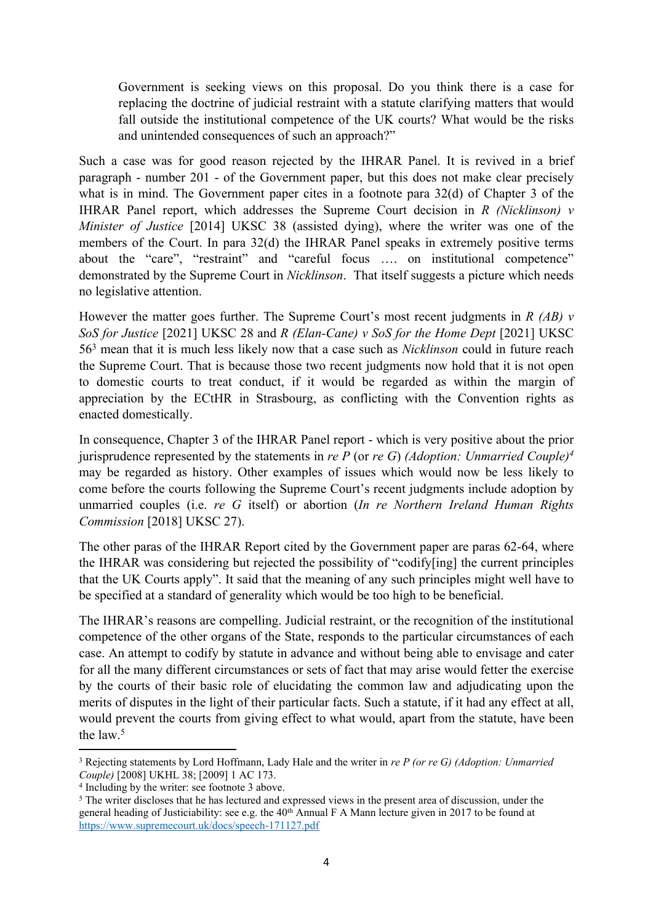Government is seeking views on this proposal. Do you think there is a case for replacing the doctrine of judicial restraint with a statute clarifying matters that would fall outside the institutional competence of the UK courts? What would be the risks and unintended consequences of such an approach?"

Such a case was for good reason rejected by the IHRAR Panel. It is revived in a brief paragraph - number 201 - of the Government paper, but this does not make clear precisely what is in mind. The Government paper cites in a footnote para 32(d) of Chapter 3 of the IHRAR Panel report, which addresses the Supreme Court decision in *R (Nicklinson) v Minister of Justice* [2014] UKSC 38 (assisted dying), where the writer was one of the members of the Court. In para 32(d) the IHRAR Panel speaks in extremely positive terms about the "care", "restraint" and "careful focus …. on institutional competence" demonstrated by the Supreme Court in *Nicklinson*. That itself suggests a picture which needs no legislative attention.

However the matter goes further. The Supreme Court's most recent judgments in *R (AB) v SoS for Justice* [2021] UKSC 28 and *R (Elan-Cane) v SoS for the Home Dept* [2021] UKSC 56<sup>3</sup> mean that it is much less likely now that a case such as *Nicklinson* could in future reach the Supreme Court. That is because those two recent judgments now hold that it is not open to domestic courts to treat conduct, if it would be regarded as within the margin of appreciation by the ECtHR in Strasbourg, as conflicting with the Convention rights as enacted domestically.

In consequence, Chapter 3 of the IHRAR Panel report - which is very positive about the prior jurisprudence represented by the statements in *re P* (or *re G*) *(Adoption: Unmarried Couple)<sup>4</sup>* may be regarded as history. Other examples of issues which would now be less likely to come before the courts following the Supreme Court's recent judgments include adoption by unmarried couples (i.e. *re G* itself) or abortion (*In re Northern Ireland Human Rights Commission* [2018] UKSC 27).

The other paras of the IHRAR Report cited by the Government paper are paras 62-64, where the IHRAR was considering but rejected the possibility of "codify[ing] the current principles that the UK Courts apply". It said that the meaning of any such principles might well have to be specified at a standard of generality which would be too high to be beneficial.

The IHRAR's reasons are compelling. Judicial restraint, or the recognition of the institutional competence of the other organs of the State, responds to the particular circumstances of each case. An attempt to codify by statute in advance and without being able to envisage and cater for all the many different circumstances or sets of fact that may arise would fetter the exercise by the courts of their basic role of elucidating the common law and adjudicating upon the merits of disputes in the light of their particular facts. Such a statute, if it had any effect at all, would prevent the courts from giving effect to what would, apart from the statute, have been the law  $5$ 

<sup>3</sup> Rejecting statements by Lord Hoffmann, Lady Hale and the writer in *re P (or re G) (Adoption: Unmarried Couple)* [2008] UKHL 38; [2009] 1 AC 173.

<sup>4</sup> Including by the writer: see footnote 3 above.

<sup>5</sup> The writer discloses that he has lectured and expressed views in the present area of discussion, under the general heading of Justiciability: see e.g. the 40<sup>th</sup> Annual F A Mann lecture given in 2017 to be found at <https://www.supremecourt.uk/docs/speech-171127.pdf>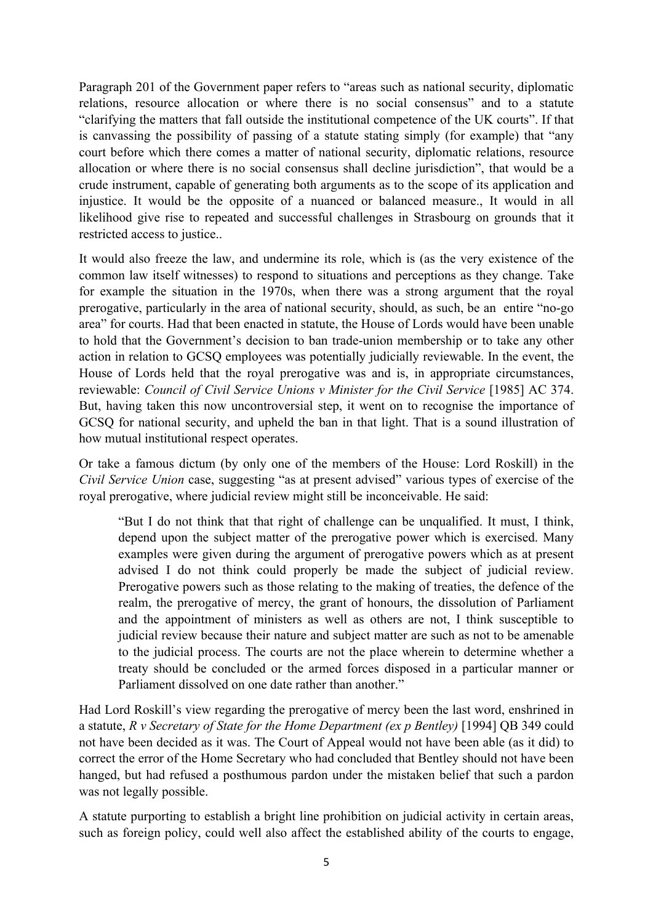Paragraph 201 of the Government paper refers to "areas such as national security, diplomatic relations, resource allocation or where there is no social consensus" and to a statute "clarifying the matters that fall outside the institutional competence of the UK courts". If that is canvassing the possibility of passing of a statute stating simply (for example) that "any court before which there comes a matter of national security, diplomatic relations, resource allocation or where there is no social consensus shall decline jurisdiction", that would be a crude instrument, capable of generating both arguments as to the scope of its application and injustice. It would be the opposite of a nuanced or balanced measure., It would in all likelihood give rise to repeated and successful challenges in Strasbourg on grounds that it restricted access to justice..

It would also freeze the law, and undermine its role, which is (as the very existence of the common law itself witnesses) to respond to situations and perceptions as they change. Take for example the situation in the 1970s, when there was a strong argument that the royal prerogative, particularly in the area of national security, should, as such, be an entire "no-go area" for courts. Had that been enacted in statute, the House of Lords would have been unable to hold that the Government's decision to ban trade-union membership or to take any other action in relation to GCSQ employees was potentially judicially reviewable. In the event, the House of Lords held that the royal prerogative was and is, in appropriate circumstances, reviewable: *Council of Civil Service Unions v Minister for the Civil Service* [1985] AC 374. But, having taken this now uncontroversial step, it went on to recognise the importance of GCSQ for national security, and upheld the ban in that light. That is a sound illustration of how mutual institutional respect operates.

Or take a famous dictum (by only one of the members of the House: Lord Roskill) in the *Civil Service Union* case, suggesting "as at present advised" various types of exercise of the royal prerogative, where judicial review might still be inconceivable. He said:

"But I do not think that that right of challenge can be unqualified. It must, I think, depend upon the subject matter of the prerogative power which is exercised. Many examples were given during the argument of prerogative powers which as at present advised I do not think could properly be made the subject of judicial review. Prerogative powers such as those relating to the making of treaties, the defence of the realm, the prerogative of mercy, the grant of honours, the dissolution of Parliament and the appointment of ministers as well as others are not, I think susceptible to judicial review because their nature and subject matter are such as not to be amenable to the judicial process. The courts are not the place wherein to determine whether a treaty should be concluded or the armed forces disposed in a particular manner or Parliament dissolved on one date rather than another."

Had Lord Roskill's view regarding the prerogative of mercy been the last word, enshrined in a statute, *R v Secretary of State for the Home Department (ex p Bentley)* [1994] QB 349 could not have been decided as it was. The Court of Appeal would not have been able (as it did) to correct the error of the Home Secretary who had concluded that Bentley should not have been hanged, but had refused a posthumous pardon under the mistaken belief that such a pardon was not legally possible.

A statute purporting to establish a bright line prohibition on judicial activity in certain areas, such as foreign policy, could well also affect the established ability of the courts to engage,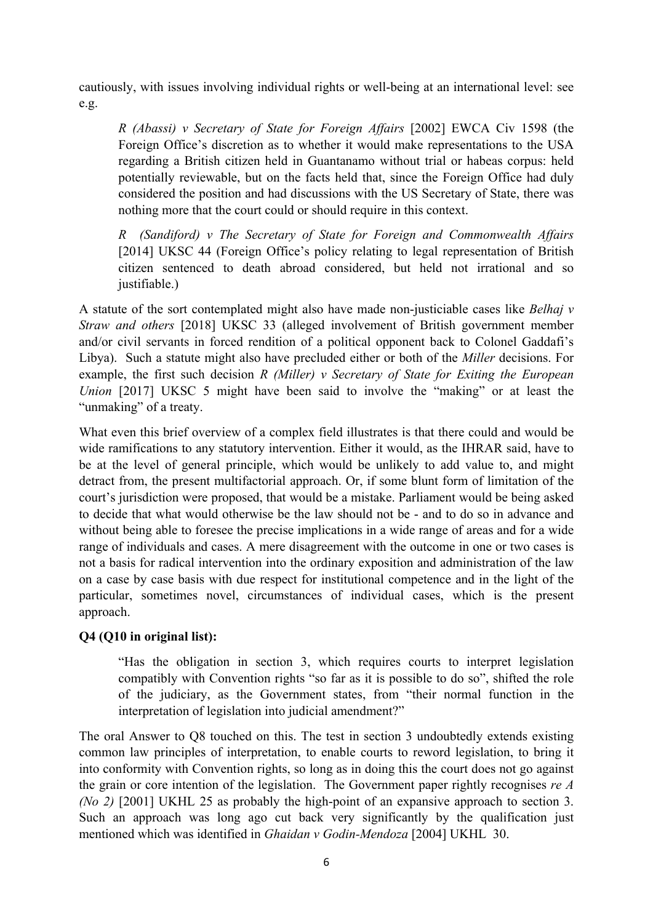cautiously, with issues involving individual rights or well-being at an international level: see e.g.

*R (Abassi) v Secretary of State for Foreign Affairs* [2002] EWCA Civ 1598 (the Foreign Office's discretion as to whether it would make representations to the USA regarding a British citizen held in Guantanamo without trial or habeas corpus: held potentially reviewable, but on the facts held that, since the Foreign Office had duly considered the position and had discussions with the US Secretary of State, there was nothing more that the court could or should require in this context.

*R (Sandiford) v The Secretary of State for Foreign and Commonwealth Affairs* [2014] UKSC 44 (Foreign Office's policy relating to legal representation of British citizen sentenced to death abroad considered, but held not irrational and so justifiable.)

A statute of the sort contemplated might also have made non-justiciable cases like *Belhaj v Straw and others* [2018] UKSC 33 (alleged involvement of British government member and/or civil servants in forced rendition of a political opponent back to Colonel Gaddafi's Libya). Such a statute might also have precluded either or both of the *Miller* decisions. For example, the first such decision *R (Miller) v Secretary of State for Exiting the European Union* [2017] UKSC 5 might have been said to involve the "making" or at least the "unmaking" of a treaty.

What even this brief overview of a complex field illustrates is that there could and would be wide ramifications to any statutory intervention. Either it would, as the IHRAR said, have to be at the level of general principle, which would be unlikely to add value to, and might detract from, the present multifactorial approach. Or, if some blunt form of limitation of the court's jurisdiction were proposed, that would be a mistake. Parliament would be being asked to decide that what would otherwise be the law should not be - and to do so in advance and without being able to foresee the precise implications in a wide range of areas and for a wide range of individuals and cases. A mere disagreement with the outcome in one or two cases is not a basis for radical intervention into the ordinary exposition and administration of the law on a case by case basis with due respect for institutional competence and in the light of the particular, sometimes novel, circumstances of individual cases, which is the present approach.

## **Q4 (Q10 in original list):**

"Has the obligation in section 3, which requires courts to interpret legislation compatibly with Convention rights "so far as it is possible to do so", shifted the role of the judiciary, as the Government states, from "their normal function in the interpretation of legislation into judicial amendment?"

The oral Answer to Q8 touched on this. The test in section 3 undoubtedly extends existing common law principles of interpretation, to enable courts to reword legislation, to bring it into conformity with Convention rights, so long as in doing this the court does not go against the grain or core intention of the legislation. The Government paper rightly recognises *re A (No 2)* [2001] UKHL 25 as probably the high-point of an expansive approach to section 3. Such an approach was long ago cut back very significantly by the qualification just mentioned which was identified in *Ghaidan v Godin-Mendoza* [2004] UKHL 30.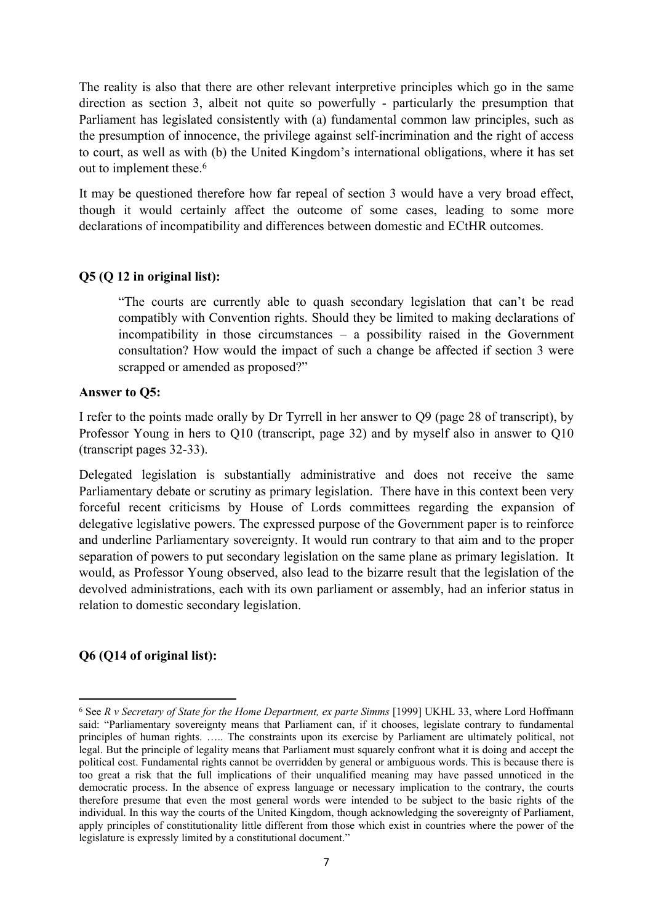The reality is also that there are other relevant interpretive principles which go in the same direction as section 3, albeit not quite so powerfully - particularly the presumption that Parliament has legislated consistently with (a) fundamental common law principles, such as the presumption of innocence, the privilege against self-incrimination and the right of access to court, as well as with (b) the United Kingdom's international obligations, where it has set out to implement these.<sup>6</sup>

It may be questioned therefore how far repeal of section 3 would have a very broad effect, though it would certainly affect the outcome of some cases, leading to some more declarations of incompatibility and differences between domestic and ECtHR outcomes.

# **Q5 (Q 12 in original list):**

"The courts are currently able to quash secondary legislation that can't be read compatibly with Convention rights. Should they be limited to making declarations of incompatibility in those circumstances – a possibility raised in the Government consultation? How would the impact of such a change be affected if section 3 were scrapped or amended as proposed?"

### **Answer to Q5:**

I refer to the points made orally by Dr Tyrrell in her answer to Q9 (page 28 of transcript), by Professor Young in hers to Q10 (transcript, page 32) and by myself also in answer to Q10 (transcript pages 32-33).

Delegated legislation is substantially administrative and does not receive the same Parliamentary debate or scrutiny as primary legislation. There have in this context been very forceful recent criticisms by House of Lords committees regarding the expansion of delegative legislative powers. The expressed purpose of the Government paper is to reinforce and underline Parliamentary sovereignty. It would run contrary to that aim and to the proper separation of powers to put secondary legislation on the same plane as primary legislation. It would, as Professor Young observed, also lead to the bizarre result that the legislation of the devolved administrations, each with its own parliament or assembly, had an inferior status in relation to domestic secondary legislation.

## **Q6 (Q14 of original list):**

<sup>6</sup> See *R v Secretary of State for the Home Department, ex parte Simms* [1999] UKHL 33, where Lord Hoffmann said: "Parliamentary sovereignty means that Parliament can, if it chooses, legislate contrary to fundamental principles of human rights. ….. The constraints upon its exercise by Parliament are ultimately political, not legal. But the principle of legality means that Parliament must squarely confront what it is doing and accept the political cost. Fundamental rights cannot be overridden by general or ambiguous words. This is because there is too great a risk that the full implications of their unqualified meaning may have passed unnoticed in the democratic process. In the absence of express language or necessary implication to the contrary, the courts therefore presume that even the most general words were intended to be subject to the basic rights of the individual. In this way the courts of the United Kingdom, though acknowledging the sovereignty of Parliament, apply principles of constitutionality little different from those which exist in countries where the power of the legislature is expressly limited by a constitutional document."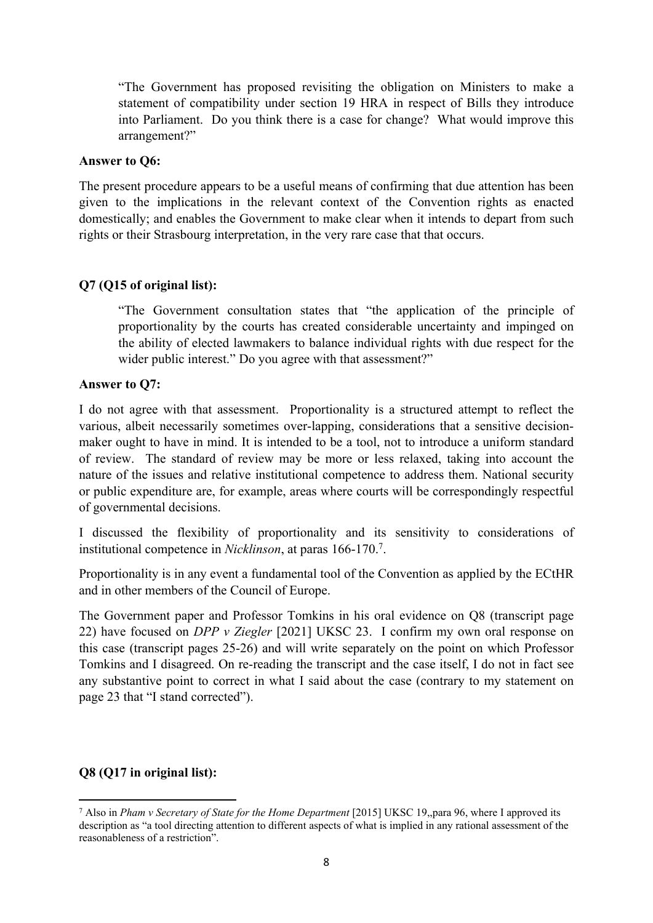"The Government has proposed revisiting the obligation on Ministers to make a statement of compatibility under section 19 HRA in respect of Bills they introduce into Parliament. Do you think there is a case for change? What would improve this arrangement?"

### **Answer to Q6:**

The present procedure appears to be a useful means of confirming that due attention has been given to the implications in the relevant context of the Convention rights as enacted domestically; and enables the Government to make clear when it intends to depart from such rights or their Strasbourg interpretation, in the very rare case that that occurs.

## **Q7 (Q15 of original list):**

"The Government consultation states that "the application of the principle of proportionality by the courts has created considerable uncertainty and impinged on the ability of elected lawmakers to balance individual rights with due respect for the wider public interest." Do you agree with that assessment?"

### **Answer to Q7:**

I do not agree with that assessment. Proportionality is a structured attempt to reflect the various, albeit necessarily sometimes over-lapping, considerations that a sensitive decisionmaker ought to have in mind. It is intended to be a tool, not to introduce a uniform standard of review. The standard of review may be more or less relaxed, taking into account the nature of the issues and relative institutional competence to address them. National security or public expenditure are, for example, areas where courts will be correspondingly respectful of governmental decisions.

I discussed the flexibility of proportionality and its sensitivity to considerations of institutional competence in *Nicklinson*, at paras 166-170.<sup>7</sup> .

Proportionality is in any event a fundamental tool of the Convention as applied by the ECtHR and in other members of the Council of Europe.

The Government paper and Professor Tomkins in his oral evidence on Q8 (transcript page 22) have focused on *DPP v Ziegler* [2021] UKSC 23. I confirm my own oral response on this case (transcript pages 25-26) and will write separately on the point on which Professor Tomkins and I disagreed. On re-reading the transcript and the case itself, I do not in fact see any substantive point to correct in what I said about the case (contrary to my statement on page 23 that "I stand corrected").

## **Q8 (Q17 in original list):**

<sup>7</sup> Also in *Pham v Secretary of State for the Home Department* [2015] UKSC 19,,para 96, where I approved its description as "a tool directing attention to different aspects of what is implied in any rational assessment of the reasonableness of a restriction".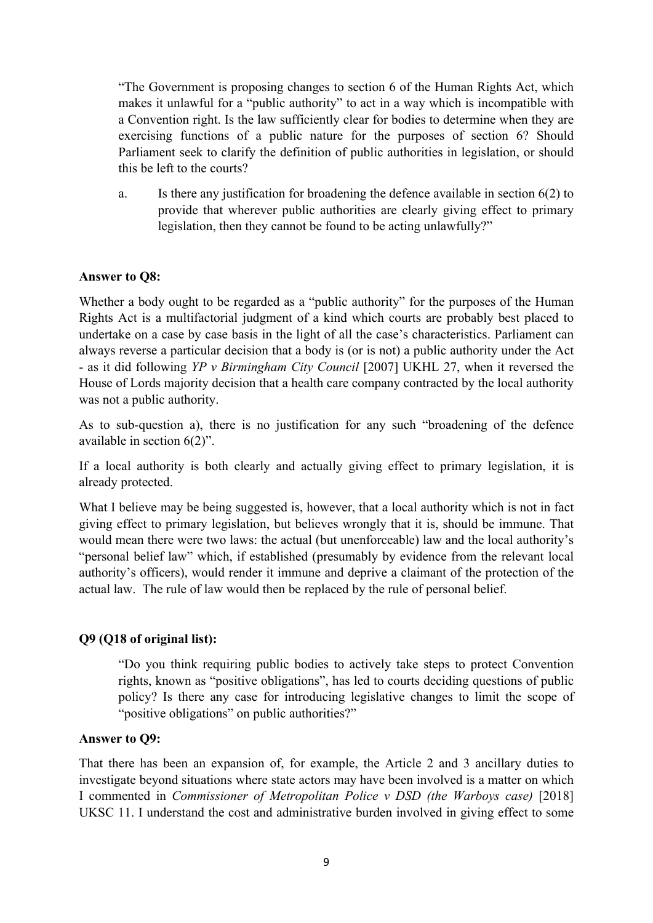"The Government is proposing changes to section 6 of the Human Rights Act, which makes it unlawful for a "public authority" to act in a way which is incompatible with a Convention right. Is the law sufficiently clear for bodies to determine when they are exercising functions of a public nature for the purposes of section 6? Should Parliament seek to clarify the definition of public authorities in legislation, or should this be left to the courts?

a. Is there any justification for broadening the defence available in section 6(2) to provide that wherever public authorities are clearly giving effect to primary legislation, then they cannot be found to be acting unlawfully?"

### **Answer to Q8:**

Whether a body ought to be regarded as a "public authority" for the purposes of the Human Rights Act is a multifactorial judgment of a kind which courts are probably best placed to undertake on a case by case basis in the light of all the case's characteristics. Parliament can always reverse a particular decision that a body is (or is not) a public authority under the Act - as it did following *YP v Birmingham City Council* [2007] UKHL 27, when it reversed the House of Lords majority decision that a health care company contracted by the local authority was not a public authority.

As to sub-question a), there is no justification for any such "broadening of the defence available in section 6(2)".

If a local authority is both clearly and actually giving effect to primary legislation, it is already protected.

What I believe may be being suggested is, however, that a local authority which is not in fact giving effect to primary legislation, but believes wrongly that it is, should be immune. That would mean there were two laws: the actual (but unenforceable) law and the local authority's "personal belief law" which, if established (presumably by evidence from the relevant local authority's officers), would render it immune and deprive a claimant of the protection of the actual law. The rule of law would then be replaced by the rule of personal belief.

#### **Q9 (Q18 of original list):**

"Do you think requiring public bodies to actively take steps to protect Convention rights, known as "positive obligations", has led to courts deciding questions of public policy? Is there any case for introducing legislative changes to limit the scope of "positive obligations" on public authorities?"

#### **Answer to Q9:**

That there has been an expansion of, for example, the Article 2 and 3 ancillary duties to investigate beyond situations where state actors may have been involved is a matter on which I commented in *Commissioner of Metropolitan Police v DSD (the Warboys case)* [2018] UKSC 11. I understand the cost and administrative burden involved in giving effect to some